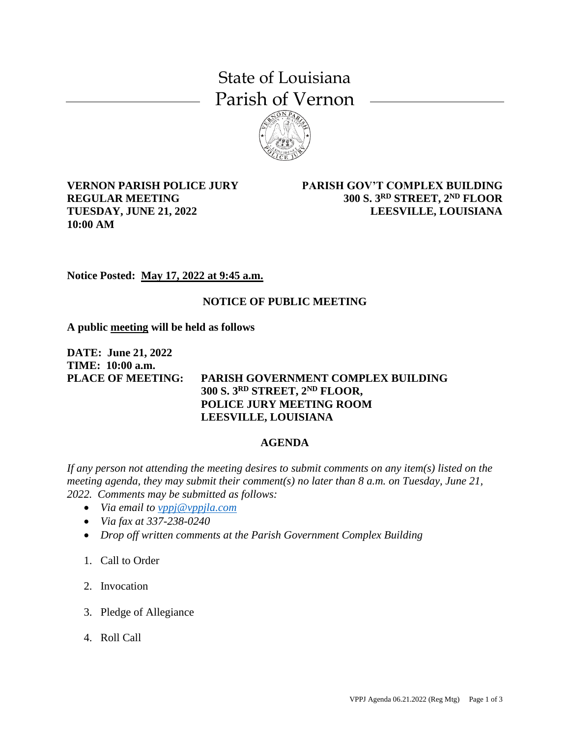## State of Louisiana Parish of Vernon



**VERNON PARISH POLICE JURY REGULAR MEETING TUESDAY, JUNE 21, 2022 10:00 AM**

**PARISH GOV'T COMPLEX BUILDING 300 S. 3RD STREET, 2ND FLOOR LEESVILLE, LOUISIANA**

**Notice Posted: May 17, 2022 at 9:45 a.m.**

## **NOTICE OF PUBLIC MEETING**

**A public meeting will be held as follows**

**DATE: June 21, 2022 TIME: 10:00 a.m.**

## **PLACE OF MEETING: PARISH GOVERNMENT COMPLEX BUILDING 300 S. 3RD STREET, 2ND FLOOR, POLICE JURY MEETING ROOM LEESVILLE, LOUISIANA**

## **AGENDA**

*If any person not attending the meeting desires to submit comments on any item(s) listed on the meeting agenda, they may submit their comment(s) no later than 8 a.m. on Tuesday, June 21, 2022. Comments may be submitted as follows:*

- *Via email to [vppj@vppjla.com](mailto:vppj@vppjla.com)*
- *Via fax at 337-238-0240*
- *Drop off written comments at the Parish Government Complex Building*
- 1. Call to Order
- 2. Invocation
- 3. Pledge of Allegiance
- 4. Roll Call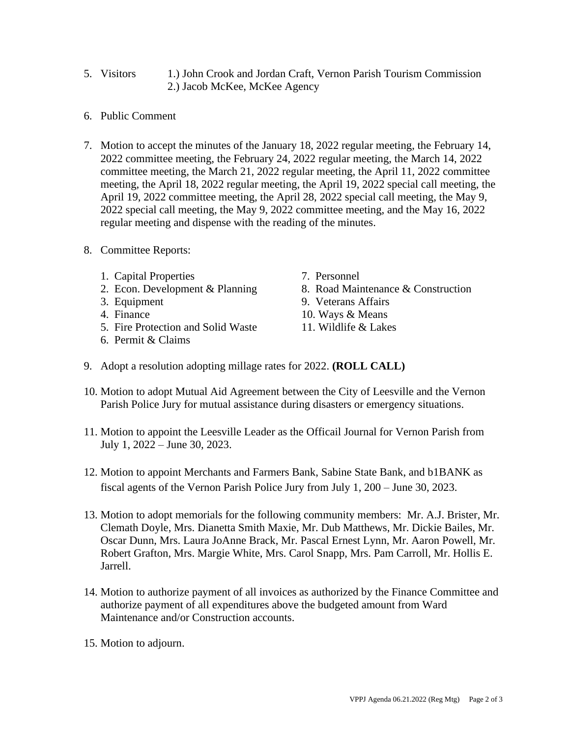- 5. Visitors 1.) John Crook and Jordan Craft, Vernon Parish Tourism Commission 2.) Jacob McKee, McKee Agency
- 6. Public Comment
- 7. Motion to accept the minutes of the January 18, 2022 regular meeting, the February 14, 2022 committee meeting, the February 24, 2022 regular meeting, the March 14, 2022 committee meeting, the March 21, 2022 regular meeting, the April 11, 2022 committee meeting, the April 18, 2022 regular meeting, the April 19, 2022 special call meeting, the April 19, 2022 committee meeting, the April 28, 2022 special call meeting, the May 9, 2022 special call meeting, the May 9, 2022 committee meeting, and the May 16, 2022 regular meeting and dispense with the reading of the minutes.
- 8. Committee Reports:
	- 1. Capital Properties
	- 2. Econ. Development & Planning
	- 3. Equipment
	- 4. Finance
	- 5. Fire Protection and Solid Waste
	- 6. Permit & Claims
- 7. Personnel
- 8. Road Maintenance & Construction
- 9. Veterans Affairs
- 10. Ways & Means
- 11. Wildlife & Lakes
- 9. Adopt a resolution adopting millage rates for 2022. **(ROLL CALL)**
- 10. Motion to adopt Mutual Aid Agreement between the City of Leesville and the Vernon Parish Police Jury for mutual assistance during disasters or emergency situations.
- 11. Motion to appoint the Leesville Leader as the Officail Journal for Vernon Parish from July 1, 2022 – June 30, 2023.
- 12. Motion to appoint Merchants and Farmers Bank, Sabine State Bank, and b1BANK as fiscal agents of the Vernon Parish Police Jury from July 1, 200 – June 30, 2023.
- 13. Motion to adopt memorials for the following community members: Mr. A.J. Brister, Mr. Clemath Doyle, Mrs. Dianetta Smith Maxie, Mr. Dub Matthews, Mr. Dickie Bailes, Mr. Oscar Dunn, Mrs. Laura JoAnne Brack, Mr. Pascal Ernest Lynn, Mr. Aaron Powell, Mr. Robert Grafton, Mrs. Margie White, Mrs. Carol Snapp, Mrs. Pam Carroll, Mr. Hollis E. Jarrell.
- 14. Motion to authorize payment of all invoices as authorized by the Finance Committee and authorize payment of all expenditures above the budgeted amount from Ward Maintenance and/or Construction accounts.
- 15. Motion to adjourn.